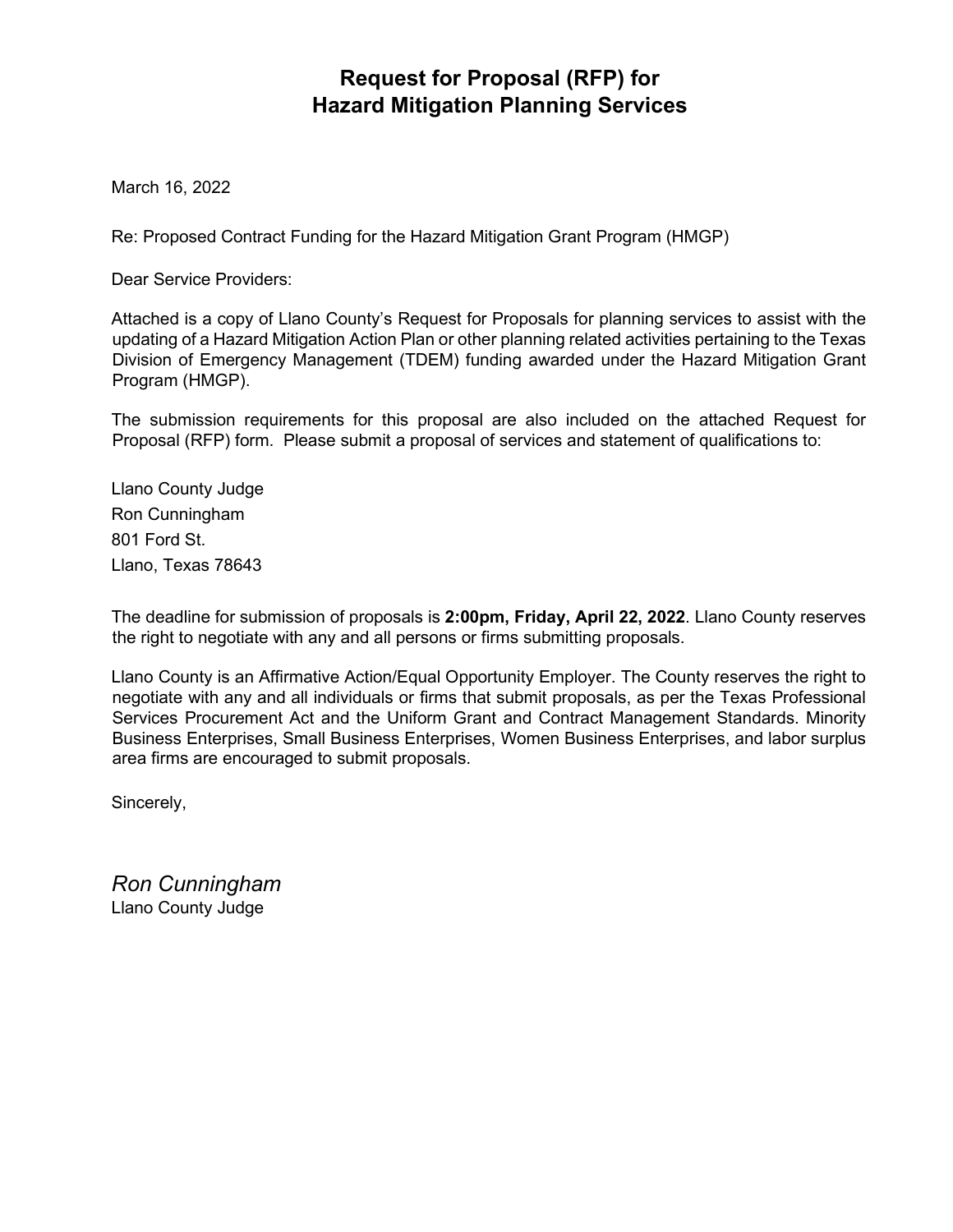# **Request for Proposal (RFP) for Hazard Mitigation Planning Services**

March 16, 2022

Re: Proposed Contract Funding for the Hazard Mitigation Grant Program (HMGP)

Dear Service Providers:

Attached is a copy of Llano County's Request for Proposals for planning services to assist with the updating of a Hazard Mitigation Action Plan or other planning related activities pertaining to the Texas Division of Emergency Management (TDEM) funding awarded under the Hazard Mitigation Grant Program (HMGP).

The submission requirements for this proposal are also included on the attached Request for Proposal (RFP) form. Please submit a proposal of services and statement of qualifications to:

Llano County Judge Ron Cunningham 801 Ford St. Llano, Texas 78643

The deadline for submission of proposals is **2:00pm, Friday, April 22, 2022**. Llano County reserves the right to negotiate with any and all persons or firms submitting proposals.

Llano County is an Affirmative Action/Equal Opportunity Employer. The County reserves the right to negotiate with any and all individuals or firms that submit proposals, as per the Texas Professional Services Procurement Act and the Uniform Grant and Contract Management Standards. Minority Business Enterprises, Small Business Enterprises, Women Business Enterprises, and labor surplus area firms are encouraged to submit proposals.

Sincerely,

*Ron Cunningham* Llano County Judge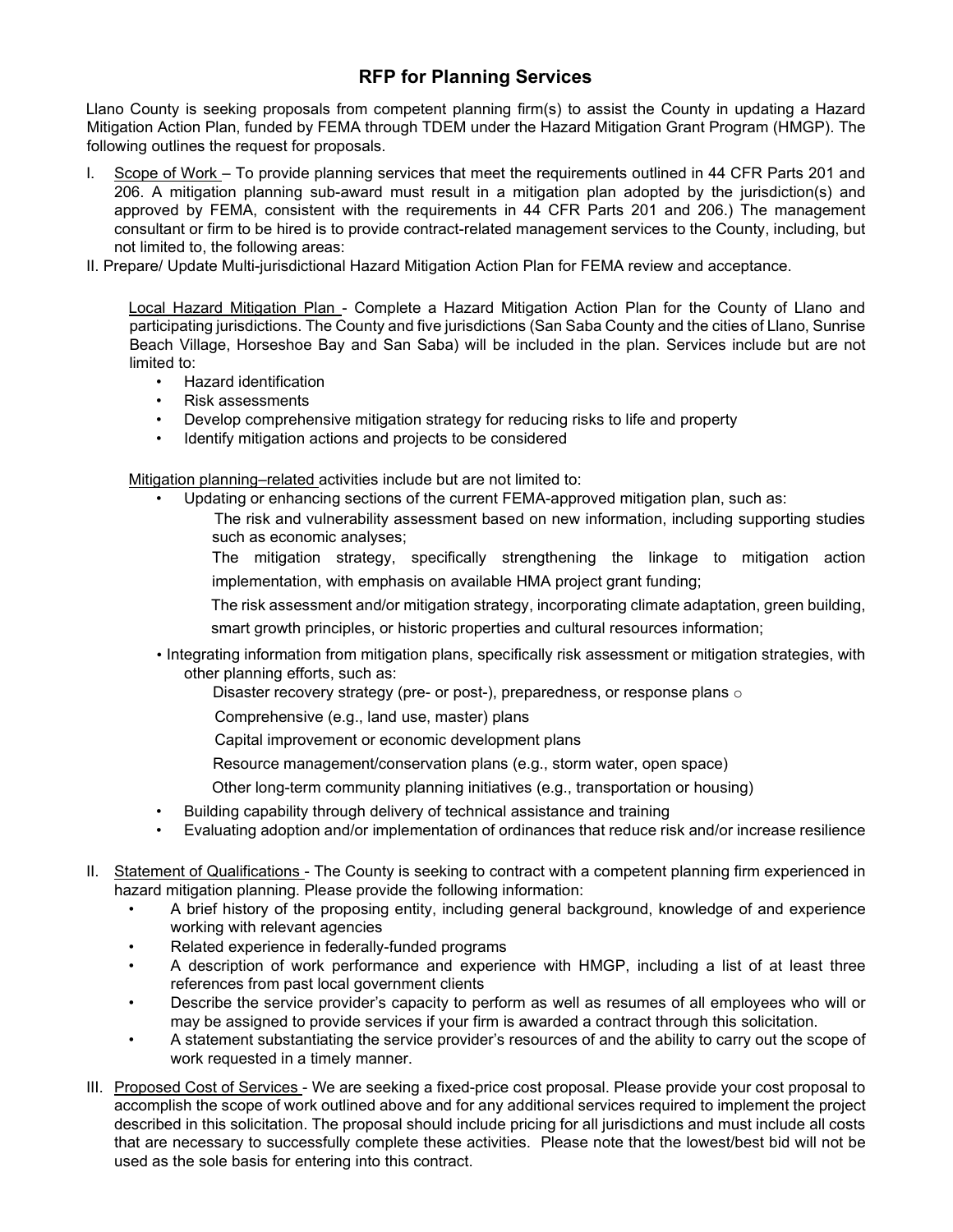## **RFP for Planning Services**

Llano County is seeking proposals from competent planning firm(s) to assist the County in updating a Hazard Mitigation Action Plan, funded by FEMA through TDEM under the Hazard Mitigation Grant Program (HMGP). The following outlines the request for proposals.

- I. Scope of Work To provide planning services that meet the requirements outlined in 44 CFR Parts 201 and 206. A mitigation planning sub-award must result in a mitigation plan adopted by the jurisdiction(s) and approved by FEMA, consistent with the requirements in 44 CFR Parts 201 and 206.) The management consultant or firm to be hired is to provide contract-related management services to the County, including, but not limited to, the following areas:
- II. Prepare/ Update Multi-jurisdictional Hazard Mitigation Action Plan for FEMA review and acceptance.

Local Hazard Mitigation Plan - Complete a Hazard Mitigation Action Plan for the County of Llano and participating jurisdictions. The County and five jurisdictions (San Saba County and the cities of Llano, Sunrise Beach Village, Horseshoe Bay and San Saba) will be included in the plan. Services include but are not limited to:

- Hazard identification
- Risk assessments
- Develop comprehensive mitigation strategy for reducing risks to life and property
- Identify mitigation actions and projects to be considered

Mitigation planning–related activities include but are not limited to:

• Updating or enhancing sections of the current FEMA-approved mitigation plan, such as: The risk and vulnerability assessment based on new information, including supporting studies such as economic analyses;

The mitigation strategy, specifically strengthening the linkage to mitigation action implementation, with emphasis on available HMA project grant funding;

The risk assessment and/or mitigation strategy, incorporating climate adaptation, green building,

smart growth principles, or historic properties and cultural resources information;

- Integrating information from mitigation plans, specifically risk assessment or mitigation strategies, with other planning efforts, such as:
	- Disaster recovery strategy (pre- or post-), preparedness, or response plans o
	- Comprehensive (e.g., land use, master) plans
	- Capital improvement or economic development plans
	- Resource management/conservation plans (e.g., storm water, open space)
	- Other long-term community planning initiatives (e.g., transportation or housing)
- Building capability through delivery of technical assistance and training
- Evaluating adoption and/or implementation of ordinances that reduce risk and/or increase resilience
- II. Statement of Qualifications The County is seeking to contract with a competent planning firm experienced in hazard mitigation planning. Please provide the following information:
	- A brief history of the proposing entity, including general background, knowledge of and experience working with relevant agencies
	- Related experience in federally-funded programs
	- A description of work performance and experience with HMGP, including a list of at least three references from past local government clients
	- Describe the service provider's capacity to perform as well as resumes of all employees who will or may be assigned to provide services if your firm is awarded a contract through this solicitation.
	- A statement substantiating the service provider's resources of and the ability to carry out the scope of work requested in a timely manner.
- III. Proposed Cost of Services We are seeking a fixed-price cost proposal. Please provide your cost proposal to accomplish the scope of work outlined above and for any additional services required to implement the project described in this solicitation. The proposal should include pricing for all jurisdictions and must include all costs that are necessary to successfully complete these activities. Please note that the lowest/best bid will not be used as the sole basis for entering into this contract.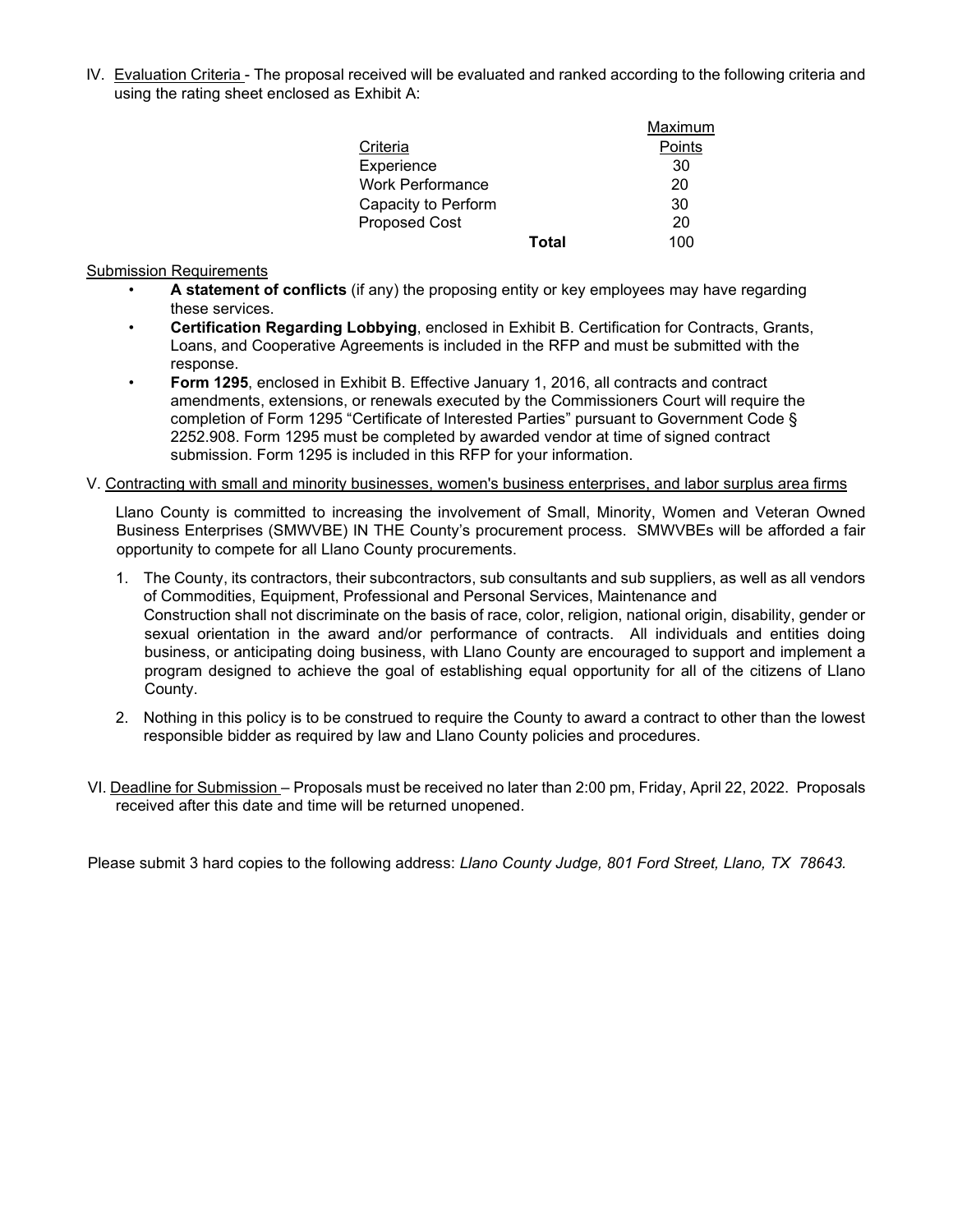IV. Evaluation Criteria - The proposal received will be evaluated and ranked according to the following criteria and using the rating sheet enclosed as Exhibit A:

|                         | Maximum |
|-------------------------|---------|
| Criteria                | Points  |
| Experience              | 30      |
| <b>Work Performance</b> | 20      |
| Capacity to Perform     | 30      |
| <b>Proposed Cost</b>    | 20      |
| Total                   | 100     |

#### Submission Requirements

- **A statement of conflicts** (if any) the proposing entity or key employees may have regarding these services.
- **Certification Regarding Lobbying**, enclosed in Exhibit B. Certification for Contracts, Grants, Loans, and Cooperative Agreements is included in the RFP and must be submitted with the response.
- **Form 1295**, enclosed in Exhibit B. Effective January 1, 2016, all contracts and contract amendments, extensions, or renewals executed by the Commissioners Court will require the completion of Form 1295 "Certificate of Interested Parties" pursuant to Government Code § 2252.908. Form 1295 must be completed by awarded vendor at time of signed contract submission. Form 1295 is included in this RFP for your information.
- V. Contracting with small and minority businesses, women's business enterprises, and labor surplus area firms

Llano County is committed to increasing the involvement of Small, Minority, Women and Veteran Owned Business Enterprises (SMWVBE) IN THE County's procurement process. SMWVBEs will be afforded a fair opportunity to compete for all Llano County procurements.

- 1. The County, its contractors, their subcontractors, sub consultants and sub suppliers, as well as all vendors of Commodities, Equipment, Professional and Personal Services, Maintenance and Construction shall not discriminate on the basis of race, color, religion, national origin, disability, gender or sexual orientation in the award and/or performance of contracts. All individuals and entities doing business, or anticipating doing business, with Llano County are encouraged to support and implement a program designed to achieve the goal of establishing equal opportunity for all of the citizens of Llano County.
- 2. Nothing in this policy is to be construed to require the County to award a contract to other than the lowest responsible bidder as required by law and Llano County policies and procedures.
- VI. Deadline for Submission Proposals must be received no later than 2:00 pm, Friday, April 22, 2022. Proposals received after this date and time will be returned unopened.

Please submit 3 hard copies to the following address: *Llano County Judge, 801 Ford Street, Llano, TX 78643.*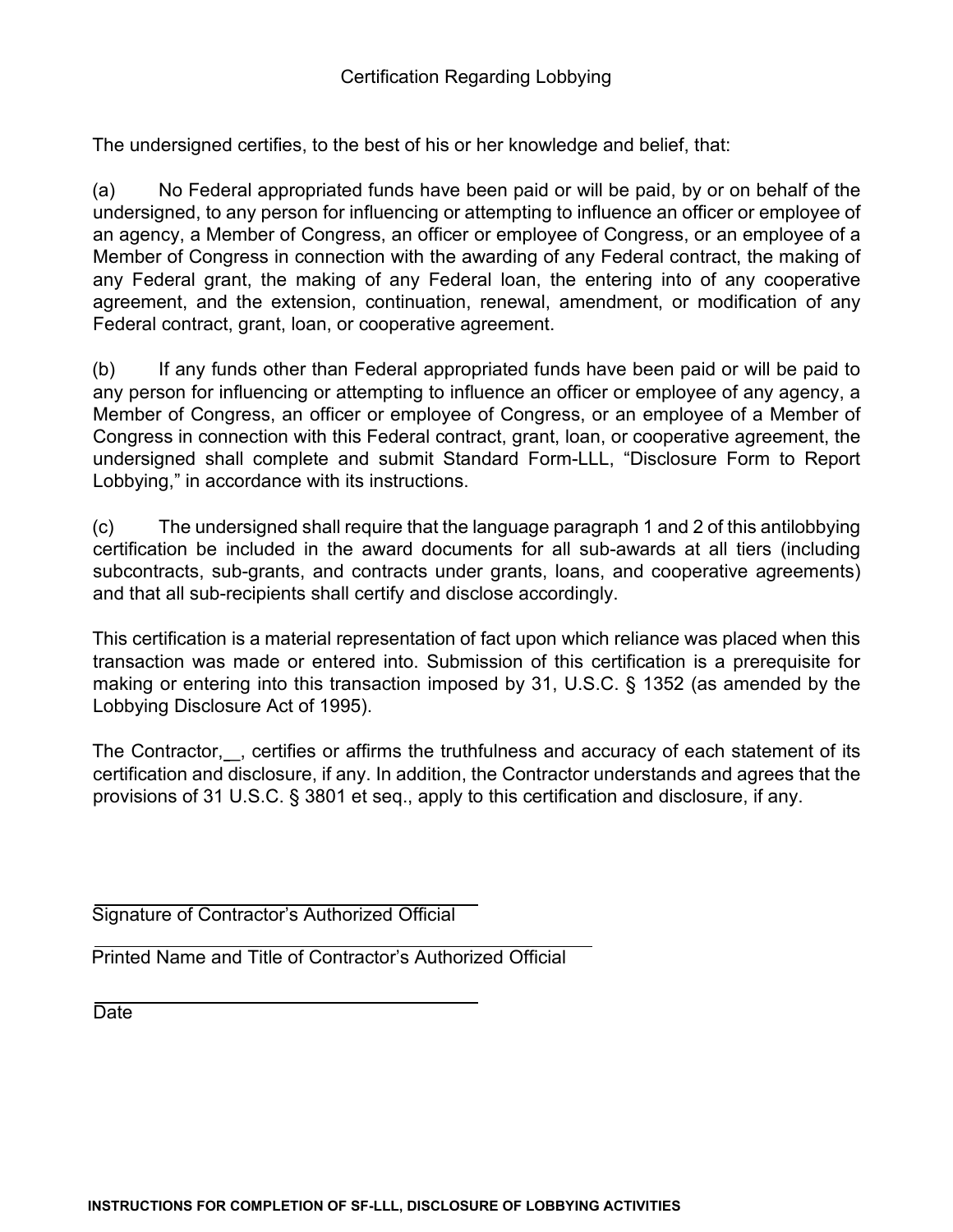The undersigned certifies, to the best of his or her knowledge and belief, that:

(a) No Federal appropriated funds have been paid or will be paid, by or on behalf of the undersigned, to any person for influencing or attempting to influence an officer or employee of an agency, a Member of Congress, an officer or employee of Congress, or an employee of a Member of Congress in connection with the awarding of any Federal contract, the making of any Federal grant, the making of any Federal loan, the entering into of any cooperative agreement, and the extension, continuation, renewal, amendment, or modification of any Federal contract, grant, loan, or cooperative agreement.

(b) If any funds other than Federal appropriated funds have been paid or will be paid to any person for influencing or attempting to influence an officer or employee of any agency, a Member of Congress, an officer or employee of Congress, or an employee of a Member of Congress in connection with this Federal contract, grant, loan, or cooperative agreement, the undersigned shall complete and submit Standard Form-LLL, "Disclosure Form to Report Lobbying," in accordance with its instructions.

(c) The undersigned shall require that the language paragraph 1 and 2 of this antilobbying certification be included in the award documents for all sub-awards at all tiers (including subcontracts, sub-grants, and contracts under grants, loans, and cooperative agreements) and that all sub-recipients shall certify and disclose accordingly.

This certification is a material representation of fact upon which reliance was placed when this transaction was made or entered into. Submission of this certification is a prerequisite for making or entering into this transaction imposed by 31, U.S.C. § 1352 (as amended by the Lobbying Disclosure Act of 1995).

The Contractor, \_\_, certifies or affirms the truthfulness and accuracy of each statement of its certification and disclosure, if any. In addition, the Contractor understands and agrees that the provisions of 31 U.S.C. § 3801 et seq., apply to this certification and disclosure, if any.

Signature of Contractor's Authorized Official

Printed Name and Title of Contractor's Authorized Official

Date<sub></sub>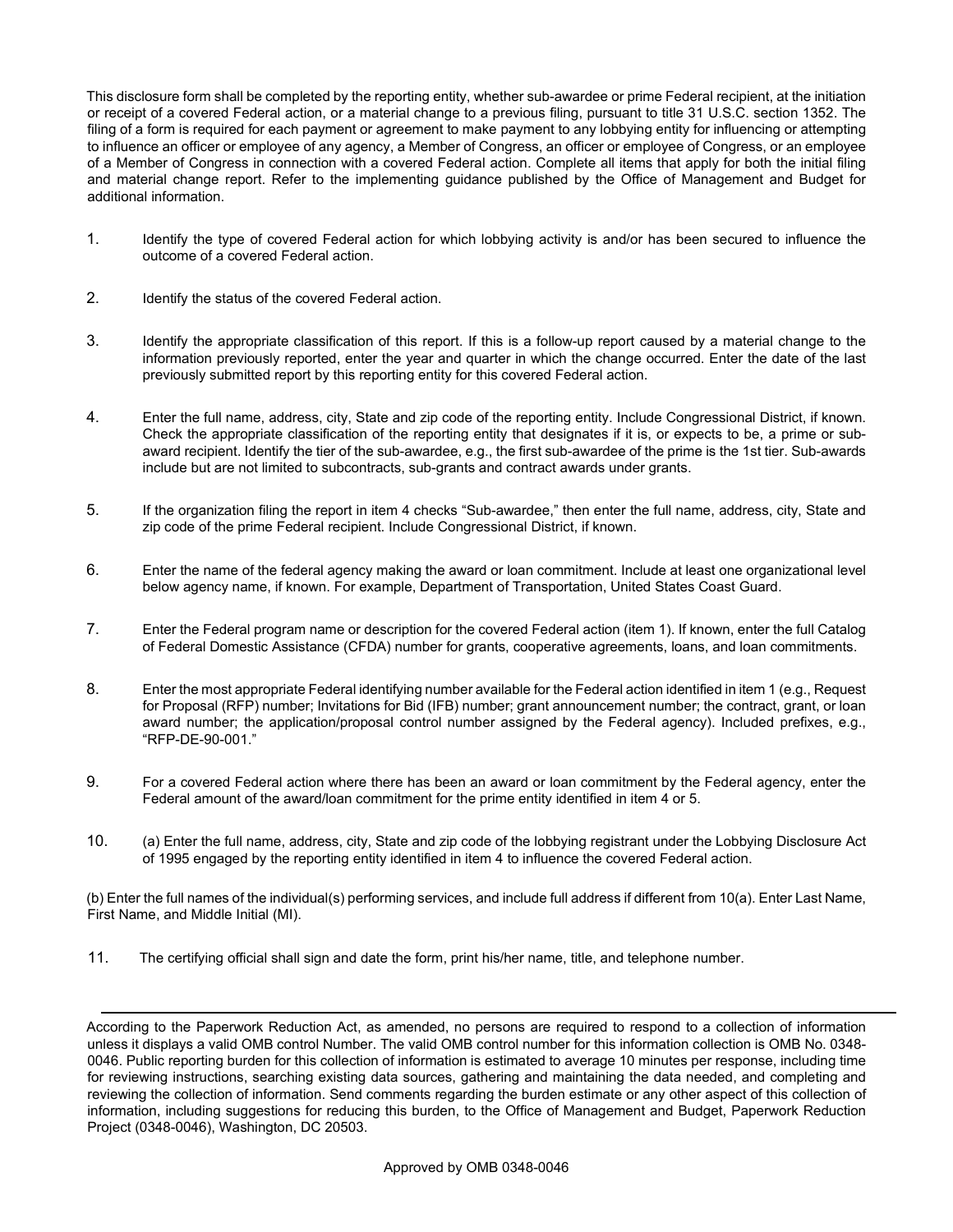This disclosure form shall be completed by the reporting entity, whether sub-awardee or prime Federal recipient, at the initiation or receipt of a covered Federal action, or a material change to a previous filing, pursuant to title 31 U.S.C. section 1352. The filing of a form is required for each payment or agreement to make payment to any lobbying entity for influencing or attempting to influence an officer or employee of any agency, a Member of Congress, an officer or employee of Congress, or an employee of a Member of Congress in connection with a covered Federal action. Complete all items that apply for both the initial filing and material change report. Refer to the implementing guidance published by the Office of Management and Budget for additional information.

- 1. Identify the type of covered Federal action for which lobbying activity is and/or has been secured to influence the outcome of a covered Federal action.
- 2. Identify the status of the covered Federal action.
- 3. Identify the appropriate classification of this report. If this is a follow-up report caused by a material change to the information previously reported, enter the year and quarter in which the change occurred. Enter the date of the last previously submitted report by this reporting entity for this covered Federal action.
- 4. Enter the full name, address, city, State and zip code of the reporting entity. Include Congressional District, if known. Check the appropriate classification of the reporting entity that designates if it is, or expects to be, a prime or subaward recipient. Identify the tier of the sub-awardee, e.g., the first sub-awardee of the prime is the 1st tier. Sub-awards include but are not limited to subcontracts, sub-grants and contract awards under grants.
- 5. If the organization filing the report in item 4 checks "Sub-awardee," then enter the full name, address, city, State and zip code of the prime Federal recipient. Include Congressional District, if known.
- 6. Enter the name of the federal agency making the award or loan commitment. Include at least one organizational level below agency name, if known. For example, Department of Transportation, United States Coast Guard.
- 7. Enter the Federal program name or description for the covered Federal action (item 1). If known, enter the full Catalog of Federal Domestic Assistance (CFDA) number for grants, cooperative agreements, loans, and loan commitments.
- 8. Enter the most appropriate Federal identifying number available for the Federal action identified in item 1 (e.g., Request for Proposal (RFP) number; Invitations for Bid (IFB) number; grant announcement number; the contract, grant, or loan award number; the application/proposal control number assigned by the Federal agency). Included prefixes, e.g., "RFP-DE-90-001."
- 9. For a covered Federal action where there has been an award or loan commitment by the Federal agency, enter the Federal amount of the award/loan commitment for the prime entity identified in item 4 or 5.
- 10. (a) Enter the full name, address, city, State and zip code of the lobbying registrant under the Lobbying Disclosure Act of 1995 engaged by the reporting entity identified in item 4 to influence the covered Federal action.

(b) Enter the full names of the individual(s) performing services, and include full address if different from 10(a). Enter Last Name, First Name, and Middle Initial (MI).

11. The certifying official shall sign and date the form, print his/her name, title, and telephone number.

According to the Paperwork Reduction Act, as amended, no persons are required to respond to a collection of information unless it displays a valid OMB control Number. The valid OMB control number for this information collection is OMB No. 0348- 0046. Public reporting burden for this collection of information is estimated to average 10 minutes per response, including time for reviewing instructions, searching existing data sources, gathering and maintaining the data needed, and completing and reviewing the collection of information. Send comments regarding the burden estimate or any other aspect of this collection of information, including suggestions for reducing this burden, to the Office of Management and Budget, Paperwork Reduction Project (0348-0046), Washington, DC 20503.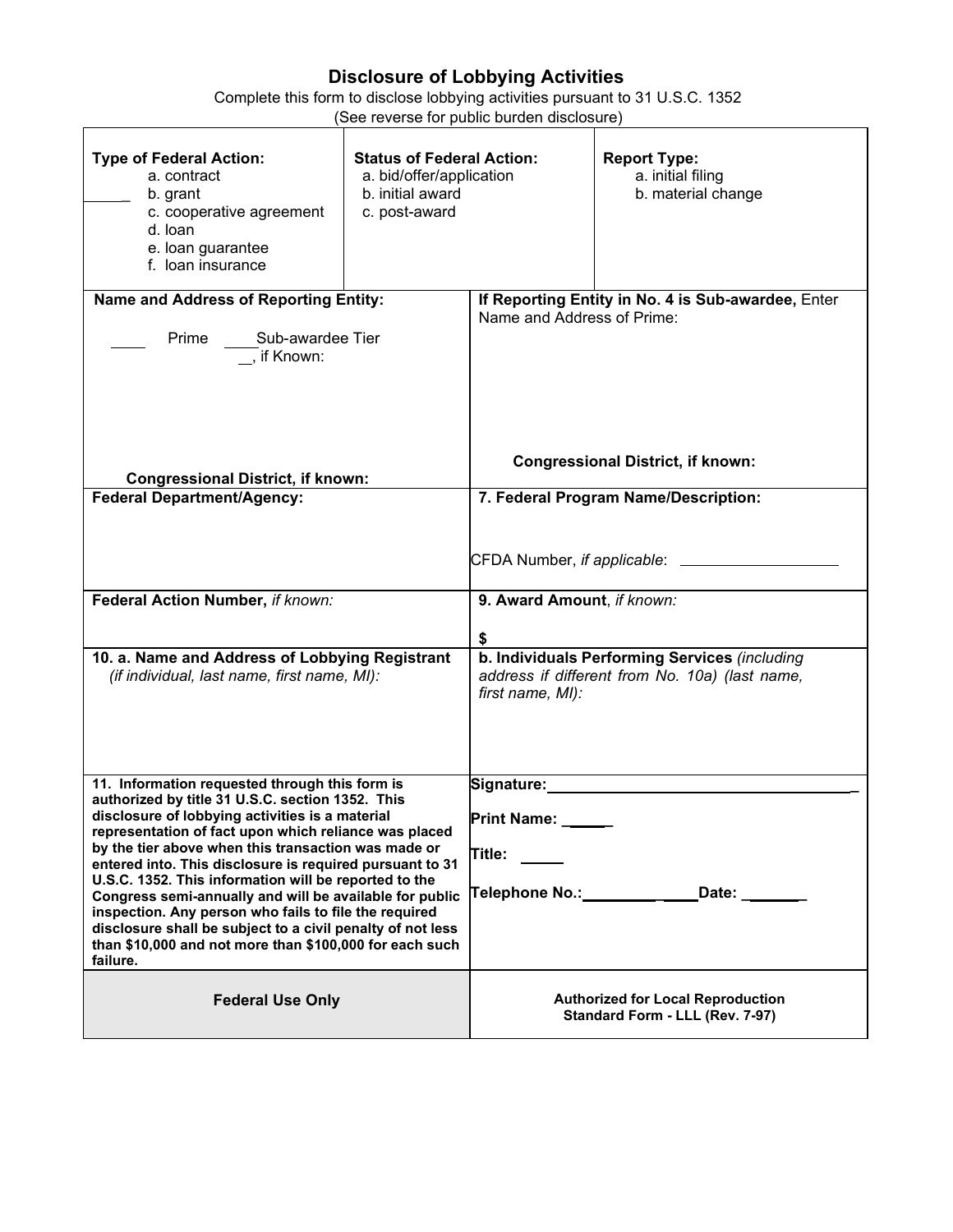## **Disclosure of Lobbying Activities**

Complete this form to disclose lobbying activities pursuant to 31 U.S.C. 1352

(See reverse for public burden disclosure)

| <b>Type of Federal Action:</b><br>a. contract<br>b. grant<br>c. cooperative agreement<br>d. loan<br>e. loan guarantee<br>f. loan insurance                                                                                                                                                                                                                                                                                                                                                                                                                                                                                                          | <b>Status of Federal Action:</b><br>a. bid/offer/application<br>b. initial award<br>c. post-award |                                                                        | <b>Report Type:</b><br>a. initial filing<br>b. material change                               |
|-----------------------------------------------------------------------------------------------------------------------------------------------------------------------------------------------------------------------------------------------------------------------------------------------------------------------------------------------------------------------------------------------------------------------------------------------------------------------------------------------------------------------------------------------------------------------------------------------------------------------------------------------------|---------------------------------------------------------------------------------------------------|------------------------------------------------------------------------|----------------------------------------------------------------------------------------------|
| Name and Address of Reporting Entity:<br>Prime<br>Sub-awardee Tier<br>$\overline{\phantom{a}}$ , if Known:                                                                                                                                                                                                                                                                                                                                                                                                                                                                                                                                          |                                                                                                   | Name and Address of Prime:                                             | If Reporting Entity in No. 4 is Sub-awardee, Enter                                           |
| <b>Congressional District, if known:</b><br><b>Federal Department/Agency:</b>                                                                                                                                                                                                                                                                                                                                                                                                                                                                                                                                                                       |                                                                                                   |                                                                        | <b>Congressional District, if known:</b><br>7. Federal Program Name/Description:             |
| Federal Action Number, if known:<br>10. a. Name and Address of Lobbying Registrant                                                                                                                                                                                                                                                                                                                                                                                                                                                                                                                                                                  |                                                                                                   | 9. Award Amount, if known:<br>\$                                       | CFDA Number, if applicable: _______________<br>b. Individuals Performing Services (including |
| (if individual, last name, first name, MI):                                                                                                                                                                                                                                                                                                                                                                                                                                                                                                                                                                                                         |                                                                                                   | first name, MI):                                                       | address if different from No. 10a) (last name,                                               |
| 11. Information requested through this form is<br>authorized by title 31 U.S.C. section 1352. This<br>disclosure of lobbying activities is a material<br>representation of fact upon which reliance was placed<br>by the tier above when this transaction was made or<br>entered into. This disclosure is required pursuant to 31<br>U.S.C. 1352. This information will be reported to the<br>Congress semi-annually and will be available for public<br>inspection. Any person who fails to file the required<br>disclosure shall be subject to a civil penalty of not less<br>than \$10,000 and not more than \$100,000 for each such<br>failure. |                                                                                                   | Signature:<br>Print Name: ____<br>Title:<br>Telephone No.: ___________ | Date: $\_\_$                                                                                 |
| <b>Federal Use Only</b>                                                                                                                                                                                                                                                                                                                                                                                                                                                                                                                                                                                                                             |                                                                                                   |                                                                        | <b>Authorized for Local Reproduction</b><br>Standard Form - LLL (Rev. 7-97)                  |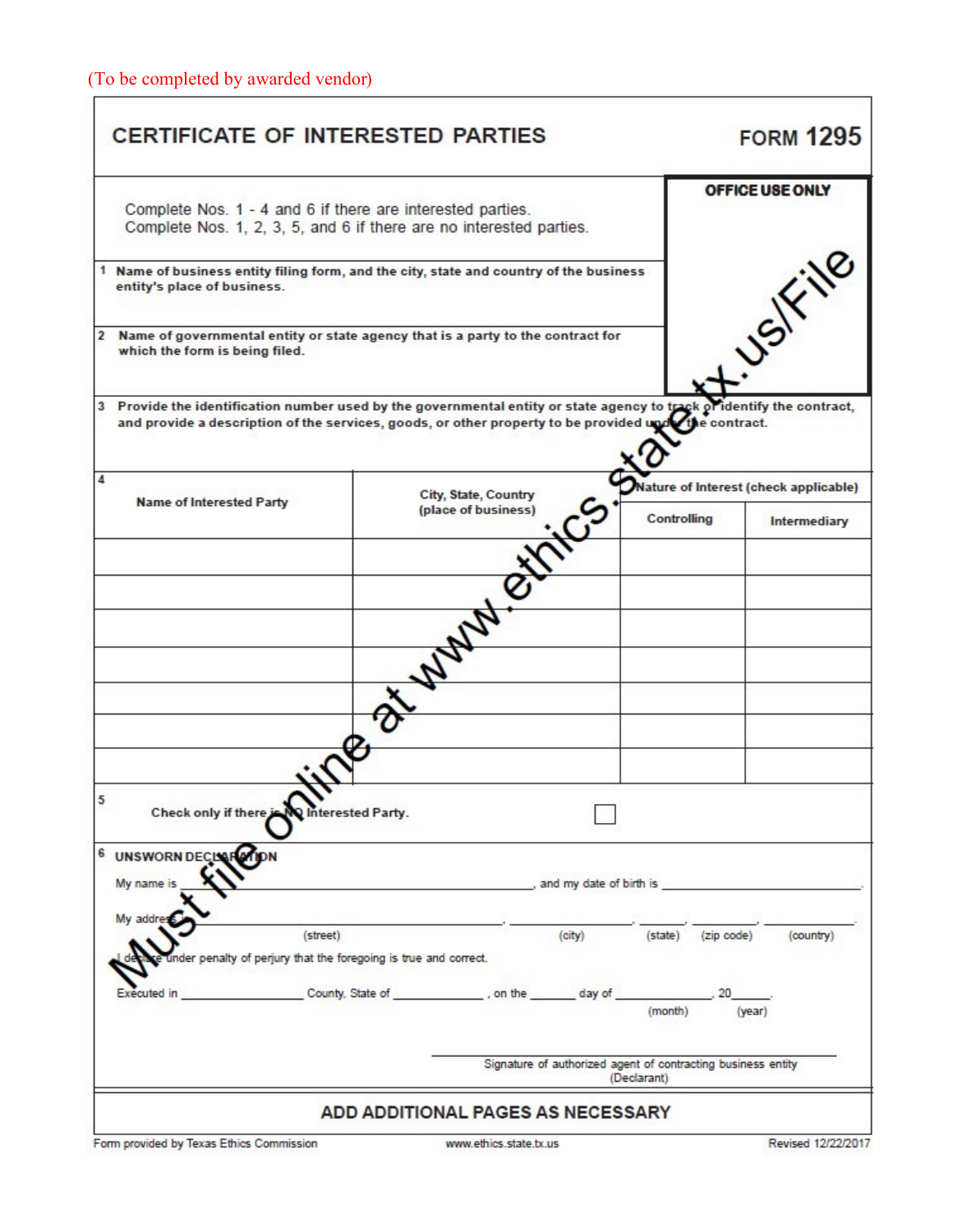| <b>CERTIFICATE OF INTERESTED PARTIES</b>                                                                                                                                                                                         |                                   |                                                                             | <b>FORM 1295</b>                      |
|----------------------------------------------------------------------------------------------------------------------------------------------------------------------------------------------------------------------------------|-----------------------------------|-----------------------------------------------------------------------------|---------------------------------------|
| Complete Nos. 1 - 4 and 6 if there are interested parties.<br>Complete Nos. 1, 2, 3, 5, and 6 if there are no interested parties.                                                                                                |                                   |                                                                             | OFFICE USE ONLY                       |
| 1 Name of business entity filing form, and the city, state and country of the business<br>entity's place of business.                                                                                                            |                                   |                                                                             |                                       |
| 2 Name of governmental entity or state agency that is a party to the contract for<br>which the form is being filed.                                                                                                              |                                   |                                                                             | <b>USIFINE</b>                        |
| 3 Provide the identification number used by the governmental entity or state agency to track of identify the contract,<br>and provide a description of the services, goods, or other property to be provided under the contract. |                                   |                                                                             |                                       |
| 4                                                                                                                                                                                                                                | City, State, Country              |                                                                             | Nature of Interest (check applicable) |
| <b>Name of Interested Party</b>                                                                                                                                                                                                  | ကို<br>(place of business)        | Controlling                                                                 | Intermediary                          |
|                                                                                                                                                                                                                                  |                                   |                                                                             |                                       |
|                                                                                                                                                                                                                                  | Marti City                        |                                                                             |                                       |
|                                                                                                                                                                                                                                  |                                   |                                                                             |                                       |
|                                                                                                                                                                                                                                  |                                   |                                                                             |                                       |
| 5<br>Check only if there                                                                                                                                                                                                         | Interested Party.                 |                                                                             |                                       |
| 6<br><b>UNSWORN DECK</b><br>My name is                                                                                                                                                                                           |                                   | , and my date of birth is                                                   |                                       |
| My addre                                                                                                                                                                                                                         |                                   |                                                                             |                                       |
| (street)<br>nder penalty of perjury that the foregoing is true and correct.                                                                                                                                                      | (city)                            | (state)<br>(zip code)                                                       | (country)                             |
| Executed in County, State of County, State of County, State of County, State of County, State of County, State of County, State of County, State of County, State of County, State of County, State of County, State of County   |                                   | (month)                                                                     | (year)                                |
|                                                                                                                                                                                                                                  |                                   | Signature of authorized agent of contracting business entity<br>(Declarant) |                                       |
|                                                                                                                                                                                                                                  | ADD ADDITIONAL PAGES AS NECESSARY |                                                                             | Povisod 12/22/2017                    |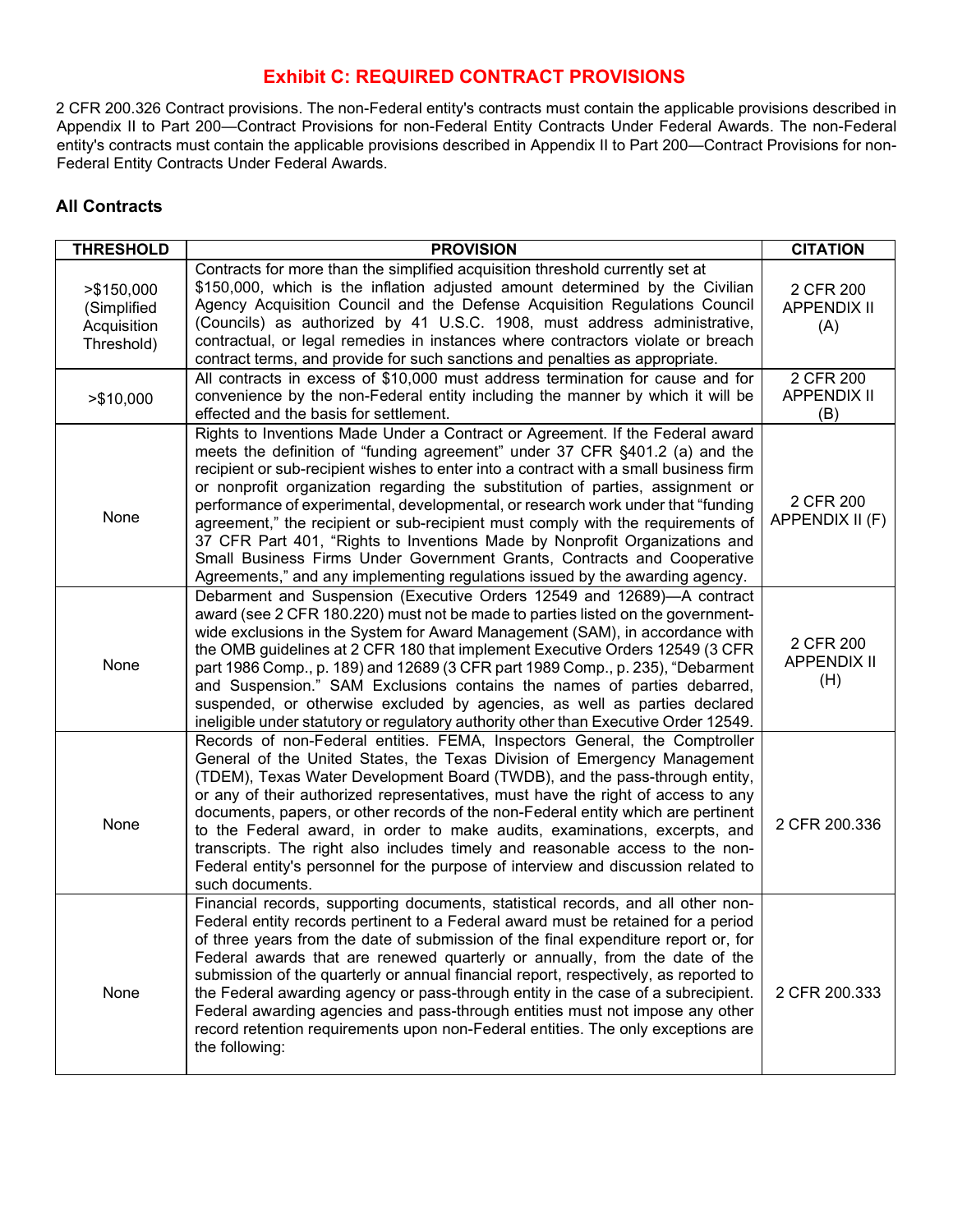#### **Exhibit C: REQUIRED CONTRACT PROVISIONS**

2 CFR 200.326 Contract provisions. The non-Federal entity's contracts must contain the applicable provisions described in Appendix II to Part 200—Contract Provisions for non-Federal Entity Contracts Under Federal Awards. The non-Federal entity's contracts must contain the applicable provisions described in Appendix II to Part 200—Contract Provisions for non-Federal Entity Contracts Under Federal Awards.

#### **All Contracts**

| <b>THRESHOLD</b>                                          | <b>PROVISION</b>                                                                                                                                                                                                                                                                                                                                                                                                                                                                                                                                                                                                                                                                                                                                        | <b>CITATION</b>                        |
|-----------------------------------------------------------|---------------------------------------------------------------------------------------------------------------------------------------------------------------------------------------------------------------------------------------------------------------------------------------------------------------------------------------------------------------------------------------------------------------------------------------------------------------------------------------------------------------------------------------------------------------------------------------------------------------------------------------------------------------------------------------------------------------------------------------------------------|----------------------------------------|
| $>$ \$150,000<br>(Simplified<br>Acquisition<br>Threshold) | Contracts for more than the simplified acquisition threshold currently set at<br>\$150,000, which is the inflation adjusted amount determined by the Civilian<br>Agency Acquisition Council and the Defense Acquisition Regulations Council<br>(Councils) as authorized by 41 U.S.C. 1908, must address administrative,<br>contractual, or legal remedies in instances where contractors violate or breach<br>contract terms, and provide for such sanctions and penalties as appropriate.                                                                                                                                                                                                                                                              | 2 CFR 200<br><b>APPENDIX II</b><br>(A) |
| > \$10,000                                                | All contracts in excess of \$10,000 must address termination for cause and for<br>convenience by the non-Federal entity including the manner by which it will be<br>effected and the basis for settlement.                                                                                                                                                                                                                                                                                                                                                                                                                                                                                                                                              | 2 CFR 200<br><b>APPENDIX II</b><br>(B) |
| None                                                      | Rights to Inventions Made Under a Contract or Agreement. If the Federal award<br>meets the definition of "funding agreement" under 37 CFR §401.2 (a) and the<br>recipient or sub-recipient wishes to enter into a contract with a small business firm<br>or nonprofit organization regarding the substitution of parties, assignment or<br>performance of experimental, developmental, or research work under that "funding<br>agreement," the recipient or sub-recipient must comply with the requirements of<br>37 CFR Part 401, "Rights to Inventions Made by Nonprofit Organizations and<br>Small Business Firms Under Government Grants, Contracts and Cooperative<br>Agreements," and any implementing regulations issued by the awarding agency. | 2 CFR 200<br>APPENDIX II (F)           |
| None                                                      | Debarment and Suspension (Executive Orders 12549 and 12689)-A contract<br>award (see 2 CFR 180.220) must not be made to parties listed on the government-<br>wide exclusions in the System for Award Management (SAM), in accordance with<br>the OMB guidelines at 2 CFR 180 that implement Executive Orders 12549 (3 CFR<br>part 1986 Comp., p. 189) and 12689 (3 CFR part 1989 Comp., p. 235), "Debarment<br>and Suspension." SAM Exclusions contains the names of parties debarred,<br>suspended, or otherwise excluded by agencies, as well as parties declared<br>ineligible under statutory or regulatory authority other than Executive Order 12549.                                                                                             | 2 CFR 200<br><b>APPENDIX II</b><br>(H) |
| None                                                      | Records of non-Federal entities. FEMA, Inspectors General, the Comptroller<br>General of the United States, the Texas Division of Emergency Management<br>(TDEM), Texas Water Development Board (TWDB), and the pass-through entity,<br>or any of their authorized representatives, must have the right of access to any<br>documents, papers, or other records of the non-Federal entity which are pertinent<br>to the Federal award, in order to make audits, examinations, excerpts, and<br>transcripts. The right also includes timely and reasonable access to the non-<br>Federal entity's personnel for the purpose of interview and discussion related to<br>such documents.                                                                    | 2 CFR 200.336                          |
| None                                                      | Financial records, supporting documents, statistical records, and all other non-<br>Federal entity records pertinent to a Federal award must be retained for a period<br>of three years from the date of submission of the final expenditure report or, for<br>Federal awards that are renewed quarterly or annually, from the date of the<br>submission of the quarterly or annual financial report, respectively, as reported to<br>the Federal awarding agency or pass-through entity in the case of a subrecipient.<br>Federal awarding agencies and pass-through entities must not impose any other<br>record retention requirements upon non-Federal entities. The only exceptions are<br>the following:                                          | 2 CFR 200.333                          |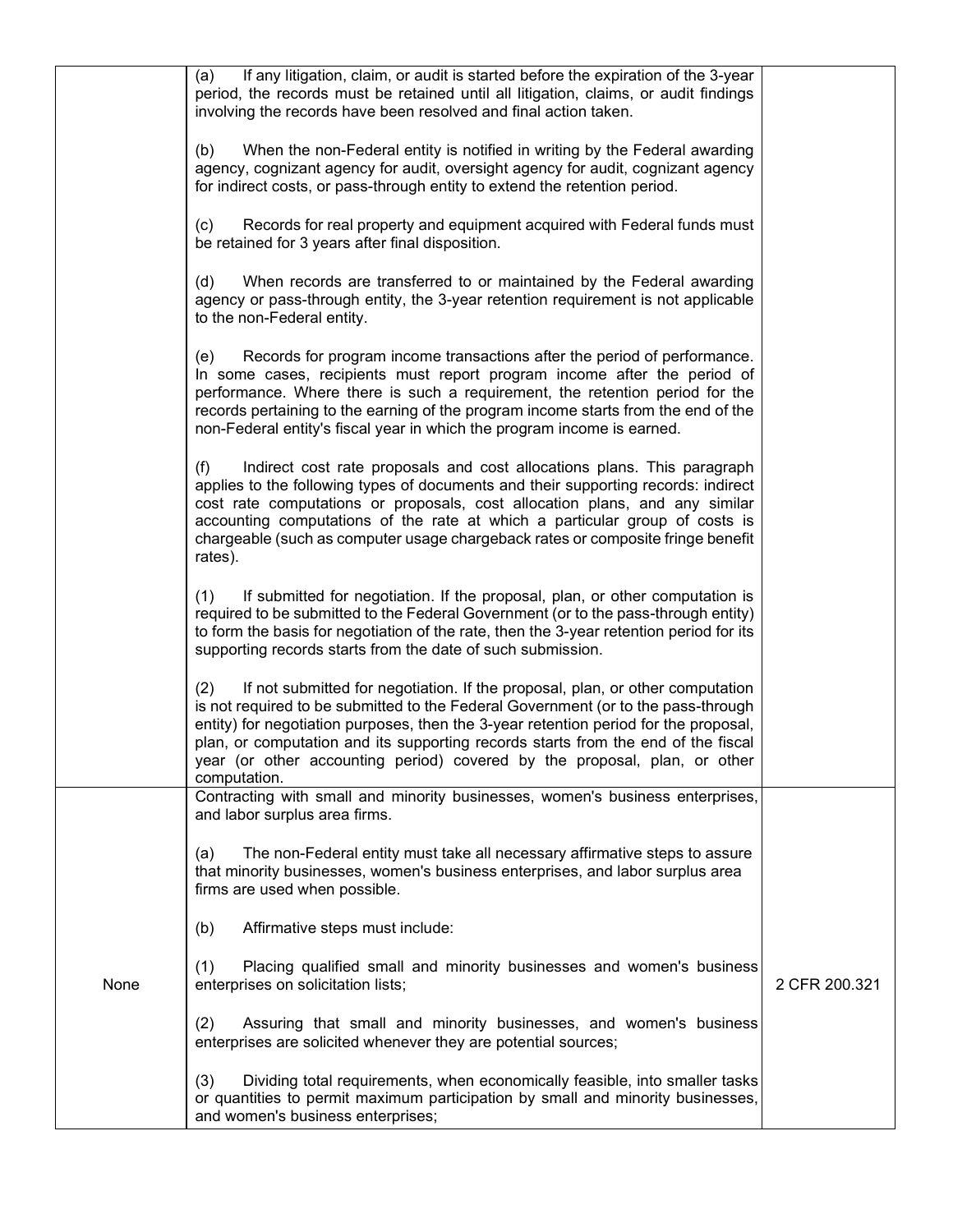|      | If any litigation, claim, or audit is started before the expiration of the 3-year<br>(a)<br>period, the records must be retained until all litigation, claims, or audit findings<br>involving the records have been resolved and final action taken.                                                                                                                                                                                                |               |
|------|-----------------------------------------------------------------------------------------------------------------------------------------------------------------------------------------------------------------------------------------------------------------------------------------------------------------------------------------------------------------------------------------------------------------------------------------------------|---------------|
|      | When the non-Federal entity is notified in writing by the Federal awarding<br>(b)<br>agency, cognizant agency for audit, oversight agency for audit, cognizant agency<br>for indirect costs, or pass-through entity to extend the retention period.                                                                                                                                                                                                 |               |
|      | Records for real property and equipment acquired with Federal funds must<br>(c)<br>be retained for 3 years after final disposition.                                                                                                                                                                                                                                                                                                                 |               |
|      | When records are transferred to or maintained by the Federal awarding<br>(d)<br>agency or pass-through entity, the 3-year retention requirement is not applicable<br>to the non-Federal entity.                                                                                                                                                                                                                                                     |               |
|      | Records for program income transactions after the period of performance.<br>(e)<br>In some cases, recipients must report program income after the period of<br>performance. Where there is such a requirement, the retention period for the<br>records pertaining to the earning of the program income starts from the end of the<br>non-Federal entity's fiscal year in which the program income is earned.                                        |               |
|      | Indirect cost rate proposals and cost allocations plans. This paragraph<br>(f)<br>applies to the following types of documents and their supporting records: indirect<br>cost rate computations or proposals, cost allocation plans, and any similar<br>accounting computations of the rate at which a particular group of costs is<br>chargeable (such as computer usage chargeback rates or composite fringe benefit<br>rates).                    |               |
|      | If submitted for negotiation. If the proposal, plan, or other computation is<br>(1)<br>required to be submitted to the Federal Government (or to the pass-through entity)<br>to form the basis for negotiation of the rate, then the 3-year retention period for its<br>supporting records starts from the date of such submission.                                                                                                                 |               |
|      | If not submitted for negotiation. If the proposal, plan, or other computation<br>(2)<br>is not required to be submitted to the Federal Government (or to the pass-through<br>entity) for negotiation purposes, then the 3-year retention period for the proposal,<br>plan, or computation and its supporting records starts from the end of the fiscal<br>year (or other accounting period) covered by the proposal, plan, or other<br>computation. |               |
|      | Contracting with small and minority businesses, women's business enterprises,<br>and labor surplus area firms.                                                                                                                                                                                                                                                                                                                                      |               |
|      | The non-Federal entity must take all necessary affirmative steps to assure<br>(a)<br>that minority businesses, women's business enterprises, and labor surplus area<br>firms are used when possible.                                                                                                                                                                                                                                                |               |
|      | (b)<br>Affirmative steps must include:                                                                                                                                                                                                                                                                                                                                                                                                              |               |
| None | Placing qualified small and minority businesses and women's business<br>(1)<br>enterprises on solicitation lists;                                                                                                                                                                                                                                                                                                                                   | 2 CFR 200.321 |
|      | Assuring that small and minority businesses, and women's business<br>(2)<br>enterprises are solicited whenever they are potential sources;                                                                                                                                                                                                                                                                                                          |               |
|      | Dividing total requirements, when economically feasible, into smaller tasks<br>(3)<br>or quantities to permit maximum participation by small and minority businesses,<br>and women's business enterprises;                                                                                                                                                                                                                                          |               |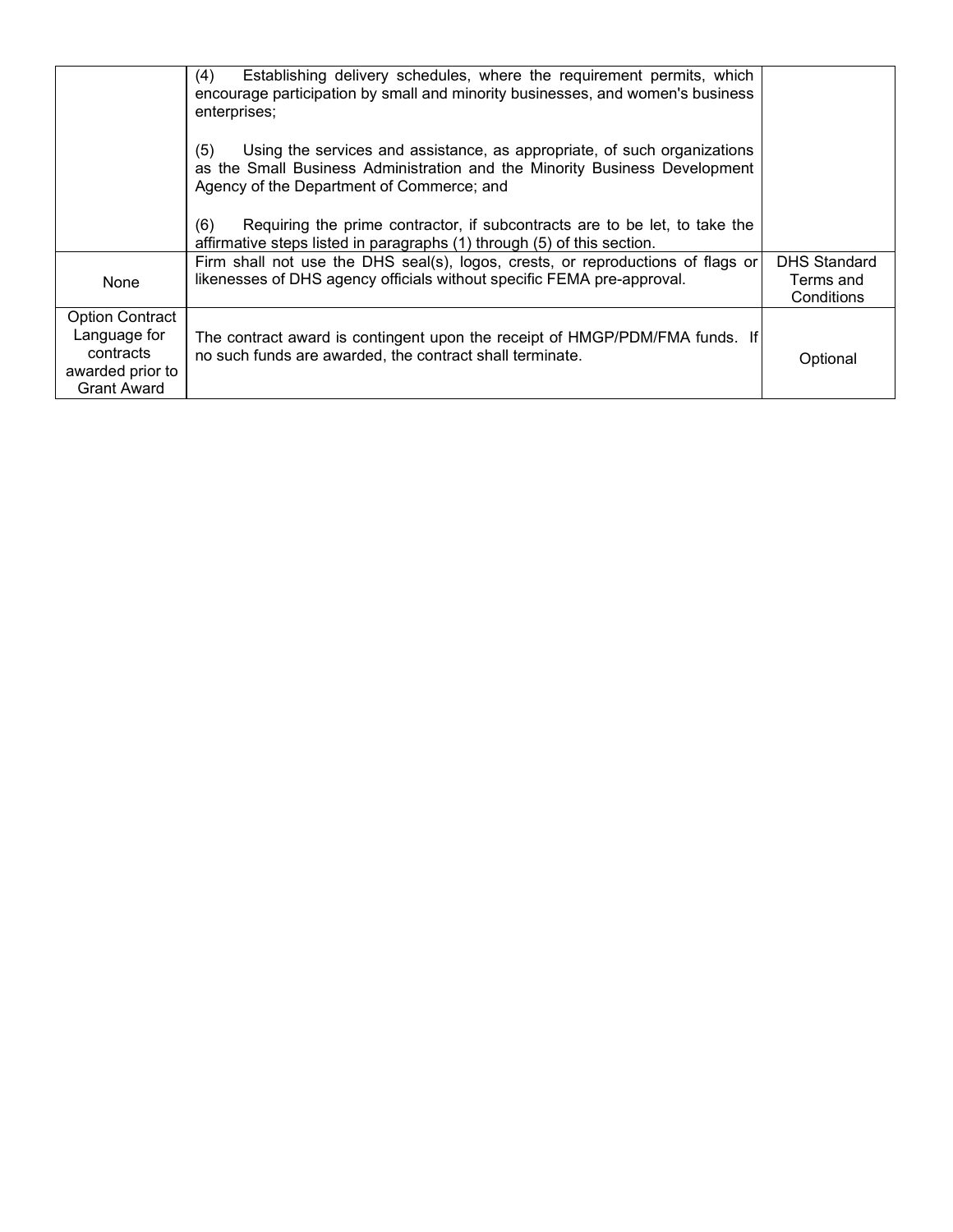|                                                                                               | Establishing delivery schedules, where the requirement permits, which<br>(4)<br>encourage participation by small and minority businesses, and women's business<br>enterprises;                             |                                                |
|-----------------------------------------------------------------------------------------------|------------------------------------------------------------------------------------------------------------------------------------------------------------------------------------------------------------|------------------------------------------------|
|                                                                                               | (5)<br>Using the services and assistance, as appropriate, of such organizations<br>as the Small Business Administration and the Minority Business Development<br>Agency of the Department of Commerce; and |                                                |
|                                                                                               | (6)<br>Requiring the prime contractor, if subcontracts are to be let, to take the<br>affirmative steps listed in paragraphs (1) through (5) of this section.                                               |                                                |
| None                                                                                          | Firm shall not use the DHS seal(s), logos, crests, or reproductions of flags or<br>likenesses of DHS agency officials without specific FEMA pre-approval.                                                  | <b>DHS Standard</b><br>Terms and<br>Conditions |
| <b>Option Contract</b><br>Language for<br>contracts<br>awarded prior to<br><b>Grant Award</b> | The contract award is contingent upon the receipt of HMGP/PDM/FMA funds. If<br>no such funds are awarded, the contract shall terminate.                                                                    | Optional                                       |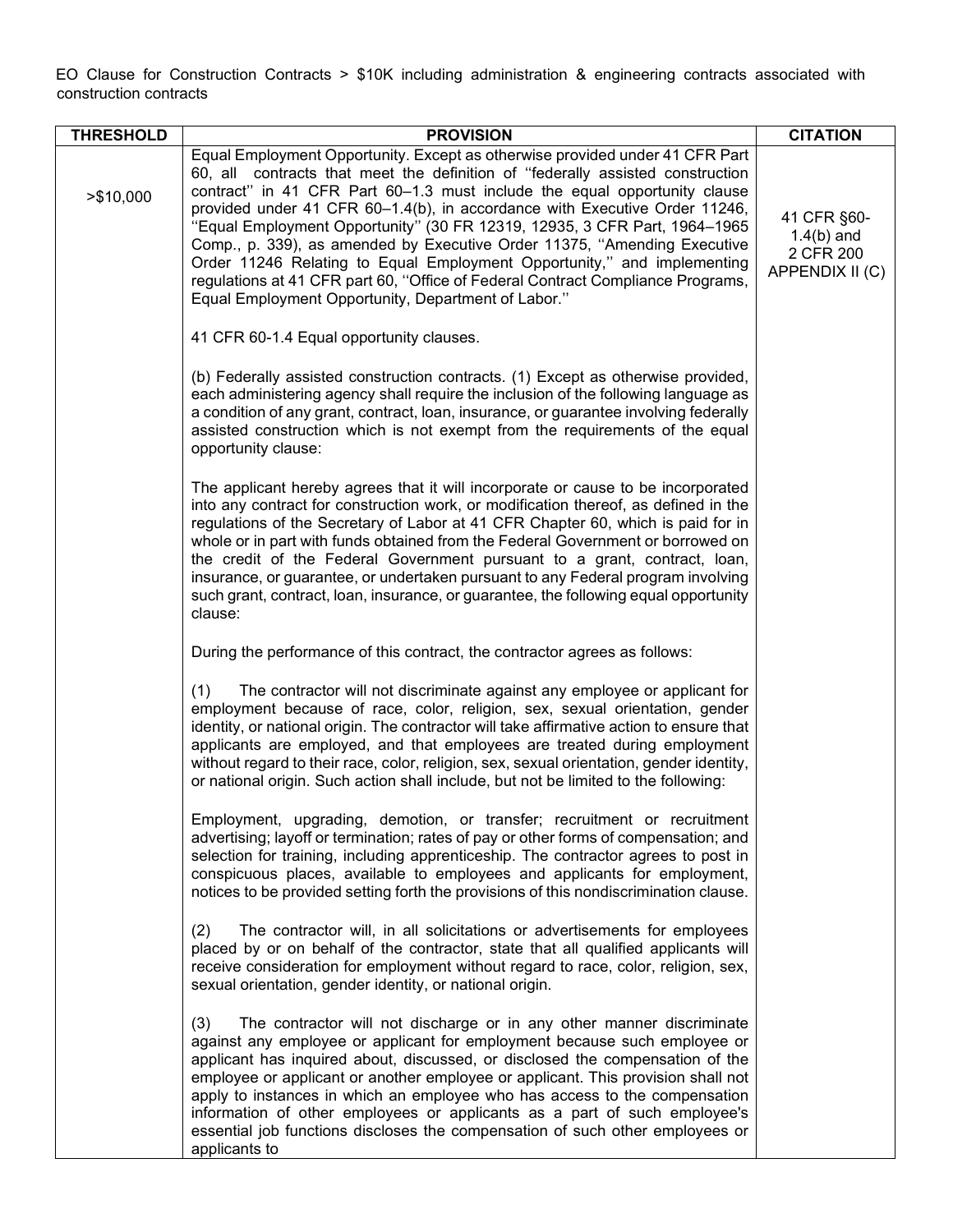EO Clause for Construction Contracts > \$10K including administration & engineering contracts associated with construction contracts

| <b>THRESHOLD</b> | <b>PROVISION</b>                                                                                                                                                                                                                                                                                                                                                                                                                                                                                                                                                                                                                                                                                         | <b>CITATION</b>                                             |
|------------------|----------------------------------------------------------------------------------------------------------------------------------------------------------------------------------------------------------------------------------------------------------------------------------------------------------------------------------------------------------------------------------------------------------------------------------------------------------------------------------------------------------------------------------------------------------------------------------------------------------------------------------------------------------------------------------------------------------|-------------------------------------------------------------|
| > \$10,000       | Equal Employment Opportunity. Except as otherwise provided under 41 CFR Part<br>60, all contracts that meet the definition of "federally assisted construction"<br>contract" in 41 CFR Part 60–1.3 must include the equal opportunity clause<br>provided under 41 CFR 60-1.4(b), in accordance with Executive Order 11246,<br>"Equal Employment Opportunity" (30 FR 12319, 12935, 3 CFR Part, 1964-1965<br>Comp., p. 339), as amended by Executive Order 11375, "Amending Executive<br>Order 11246 Relating to Equal Employment Opportunity," and implementing<br>regulations at 41 CFR part 60, "Office of Federal Contract Compliance Programs,<br>Equal Employment Opportunity, Department of Labor." | 41 CFR §60-<br>$1.4(b)$ and<br>2 CFR 200<br>APPENDIX II (C) |
|                  | 41 CFR 60-1.4 Equal opportunity clauses.                                                                                                                                                                                                                                                                                                                                                                                                                                                                                                                                                                                                                                                                 |                                                             |
|                  | (b) Federally assisted construction contracts. (1) Except as otherwise provided,<br>each administering agency shall require the inclusion of the following language as<br>a condition of any grant, contract, loan, insurance, or guarantee involving federally<br>assisted construction which is not exempt from the requirements of the equal<br>opportunity clause:                                                                                                                                                                                                                                                                                                                                   |                                                             |
|                  | The applicant hereby agrees that it will incorporate or cause to be incorporated<br>into any contract for construction work, or modification thereof, as defined in the<br>regulations of the Secretary of Labor at 41 CFR Chapter 60, which is paid for in<br>whole or in part with funds obtained from the Federal Government or borrowed on<br>the credit of the Federal Government pursuant to a grant, contract, loan,<br>insurance, or guarantee, or undertaken pursuant to any Federal program involving<br>such grant, contract, loan, insurance, or guarantee, the following equal opportunity<br>clause:                                                                                       |                                                             |
|                  | During the performance of this contract, the contractor agrees as follows:                                                                                                                                                                                                                                                                                                                                                                                                                                                                                                                                                                                                                               |                                                             |
|                  | The contractor will not discriminate against any employee or applicant for<br>(1)<br>employment because of race, color, religion, sex, sexual orientation, gender<br>identity, or national origin. The contractor will take affirmative action to ensure that<br>applicants are employed, and that employees are treated during employment<br>without regard to their race, color, religion, sex, sexual orientation, gender identity,<br>or national origin. Such action shall include, but not be limited to the following:                                                                                                                                                                            |                                                             |
|                  | Employment, upgrading, demotion, or transfer; recruitment or recruitment<br>advertising; layoff or termination; rates of pay or other forms of compensation; and<br>selection for training, including apprenticeship. The contractor agrees to post in<br>conspicuous places, available to employees and applicants for employment,<br>notices to be provided setting forth the provisions of this nondiscrimination clause.                                                                                                                                                                                                                                                                             |                                                             |
|                  | (2)<br>The contractor will, in all solicitations or advertisements for employees<br>placed by or on behalf of the contractor, state that all qualified applicants will<br>receive consideration for employment without regard to race, color, religion, sex,<br>sexual orientation, gender identity, or national origin.                                                                                                                                                                                                                                                                                                                                                                                 |                                                             |
|                  | The contractor will not discharge or in any other manner discriminate<br>(3)<br>against any employee or applicant for employment because such employee or<br>applicant has inquired about, discussed, or disclosed the compensation of the<br>employee or applicant or another employee or applicant. This provision shall not<br>apply to instances in which an employee who has access to the compensation<br>information of other employees or applicants as a part of such employee's<br>essential job functions discloses the compensation of such other employees or<br>applicants to                                                                                                              |                                                             |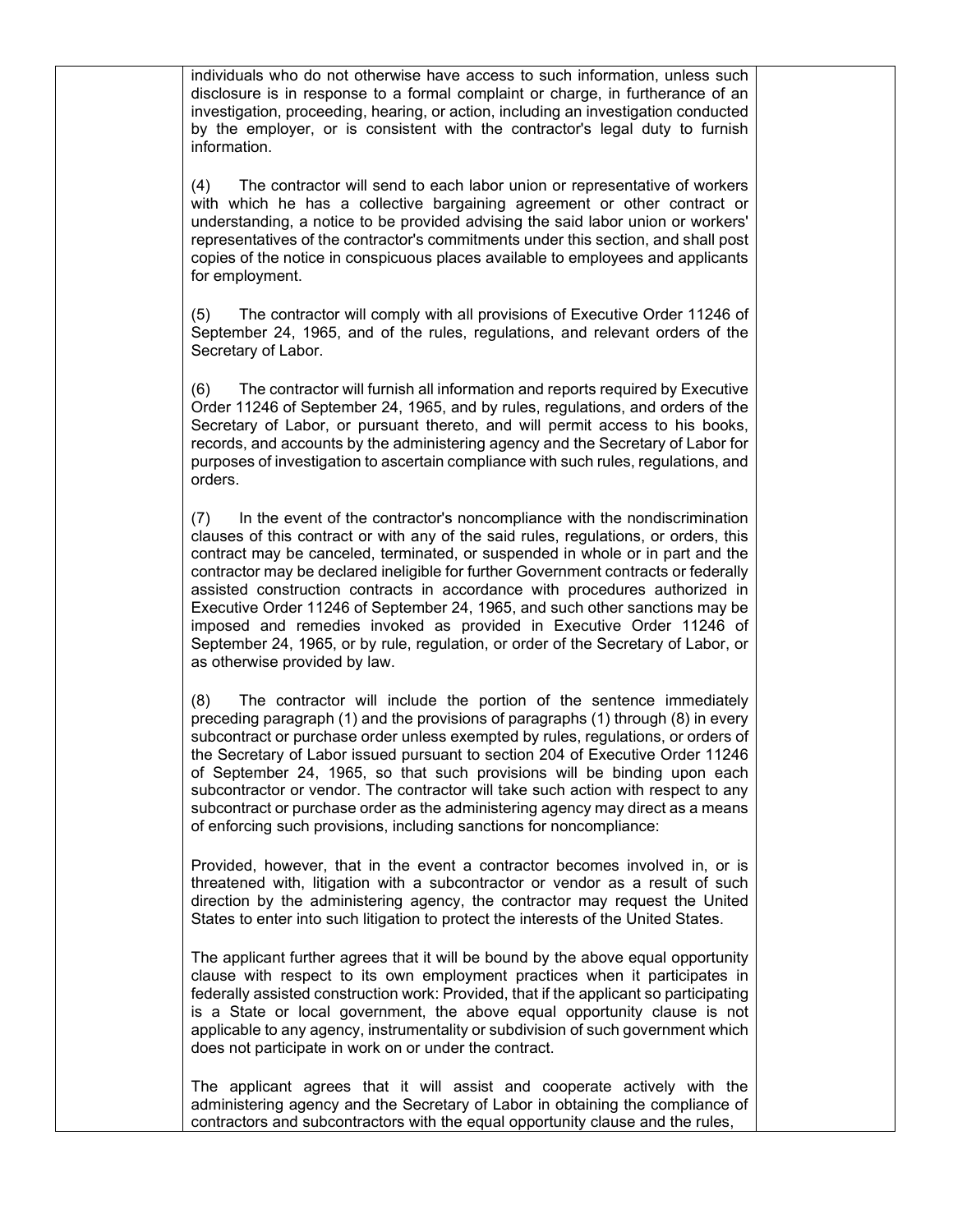individuals who do not otherwise have access to such information, unless such disclosure is in response to a formal complaint or charge, in furtherance of an investigation, proceeding, hearing, or action, including an investigation conducted by the employer, or is consistent with the contractor's legal duty to furnish information.

(4) The contractor will send to each labor union or representative of workers with which he has a collective bargaining agreement or other contract or understanding, a notice to be provided advising the said labor union or workers' representatives of the contractor's commitments under this section, and shall post copies of the notice in conspicuous places available to employees and applicants for employment.

(5) The contractor will comply with all provisions of Executive Order 11246 of September 24, 1965, and of the rules, regulations, and relevant orders of the Secretary of Labor.

(6) The contractor will furnish all information and reports required by Executive Order 11246 of September 24, 1965, and by rules, regulations, and orders of the Secretary of Labor, or pursuant thereto, and will permit access to his books, records, and accounts by the administering agency and the Secretary of Labor for purposes of investigation to ascertain compliance with such rules, regulations, and orders.

(7) In the event of the contractor's noncompliance with the nondiscrimination clauses of this contract or with any of the said rules, regulations, or orders, this contract may be canceled, terminated, or suspended in whole or in part and the contractor may be declared ineligible for further Government contracts or federally assisted construction contracts in accordance with procedures authorized in Executive Order 11246 of September 24, 1965, and such other sanctions may be imposed and remedies invoked as provided in Executive Order 11246 of September 24, 1965, or by rule, regulation, or order of the Secretary of Labor, or as otherwise provided by law.

(8) The contractor will include the portion of the sentence immediately preceding paragraph (1) and the provisions of paragraphs (1) through (8) in every subcontract or purchase order unless exempted by rules, regulations, or orders of the Secretary of Labor issued pursuant to section 204 of Executive Order 11246 of September 24, 1965, so that such provisions will be binding upon each subcontractor or vendor. The contractor will take such action with respect to any subcontract or purchase order as the administering agency may direct as a means of enforcing such provisions, including sanctions for noncompliance:

Provided, however, that in the event a contractor becomes involved in, or is threatened with, litigation with a subcontractor or vendor as a result of such direction by the administering agency, the contractor may request the United States to enter into such litigation to protect the interests of the United States.

The applicant further agrees that it will be bound by the above equal opportunity clause with respect to its own employment practices when it participates in federally assisted construction work: Provided, that if the applicant so participating is a State or local government, the above equal opportunity clause is not applicable to any agency, instrumentality or subdivision of such government which does not participate in work on or under the contract.

The applicant agrees that it will assist and cooperate actively with the administering agency and the Secretary of Labor in obtaining the compliance of contractors and subcontractors with the equal opportunity clause and the rules,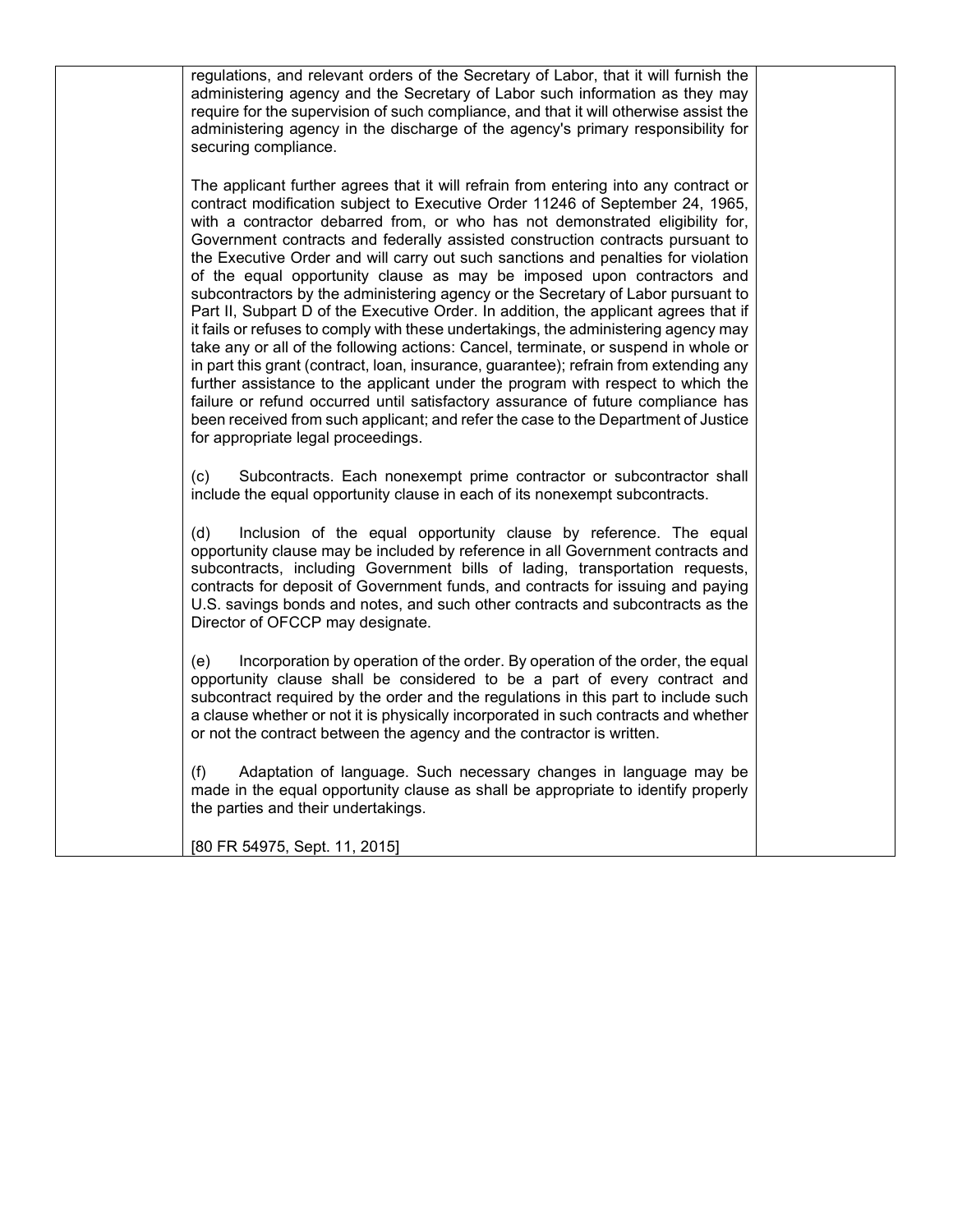regulations, and relevant orders of the Secretary of Labor, that it will furnish the administering agency and the Secretary of Labor such information as they may require for the supervision of such compliance, and that it will otherwise assist the administering agency in the discharge of the agency's primary responsibility for securing compliance.

The applicant further agrees that it will refrain from entering into any contract or contract modification subject to Executive Order 11246 of September 24, 1965, with a contractor debarred from, or who has not demonstrated eligibility for, Government contracts and federally assisted construction contracts pursuant to the Executive Order and will carry out such sanctions and penalties for violation of the equal opportunity clause as may be imposed upon contractors and subcontractors by the administering agency or the Secretary of Labor pursuant to Part II, Subpart D of the Executive Order. In addition, the applicant agrees that if it fails or refuses to comply with these undertakings, the administering agency may take any or all of the following actions: Cancel, terminate, or suspend in whole or in part this grant (contract, loan, insurance, guarantee); refrain from extending any further assistance to the applicant under the program with respect to which the failure or refund occurred until satisfactory assurance of future compliance has been received from such applicant; and refer the case to the Department of Justice for appropriate legal proceedings.

(c) Subcontracts. Each nonexempt prime contractor or subcontractor shall include the equal opportunity clause in each of its nonexempt subcontracts.

(d) Inclusion of the equal opportunity clause by reference. The equal opportunity clause may be included by reference in all Government contracts and subcontracts, including Government bills of lading, transportation requests, contracts for deposit of Government funds, and contracts for issuing and paying U.S. savings bonds and notes, and such other contracts and subcontracts as the Director of OFCCP may designate.

(e) Incorporation by operation of the order. By operation of the order, the equal opportunity clause shall be considered to be a part of every contract and subcontract required by the order and the regulations in this part to include such a clause whether or not it is physically incorporated in such contracts and whether or not the contract between the agency and the contractor is written.

(f) Adaptation of language. Such necessary changes in language may be made in the equal opportunity clause as shall be appropriate to identify properly the parties and their undertakings.

[80 FR 54975, Sept. 11, 2015]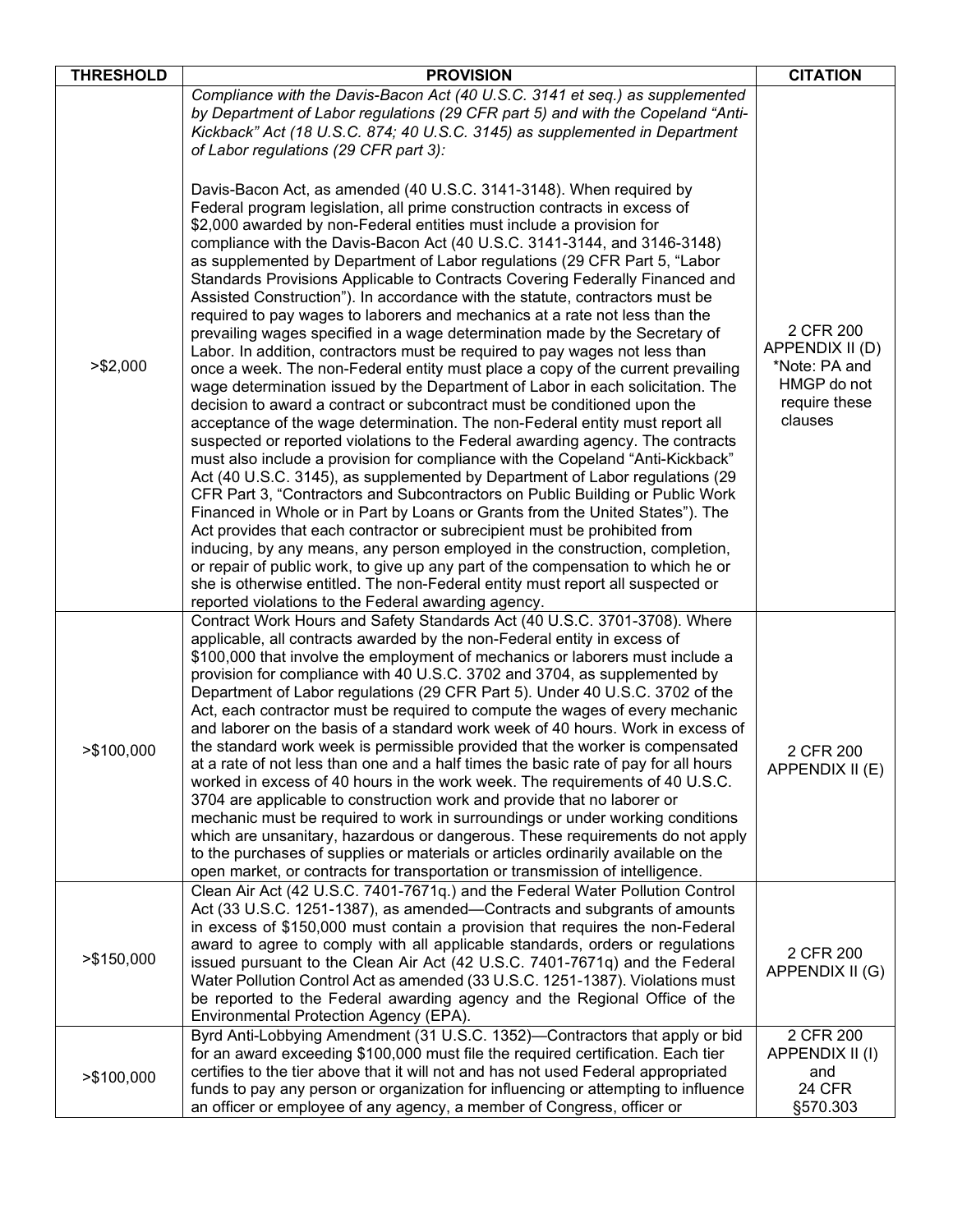| <b>THRESHOLD</b> | <b>PROVISION</b>                                                                                                                                                                                                                                                                                                                                                                                                                                                                                                                                                                                                                                                                                                                                                                                                                                                                                                                                                                                                                                                                                                                                                                                                                                                                                                                                                                                                                                                                                                                                                                                                                                                                                                                                                                                                                                                          | <b>CITATION</b>                                                                          |
|------------------|---------------------------------------------------------------------------------------------------------------------------------------------------------------------------------------------------------------------------------------------------------------------------------------------------------------------------------------------------------------------------------------------------------------------------------------------------------------------------------------------------------------------------------------------------------------------------------------------------------------------------------------------------------------------------------------------------------------------------------------------------------------------------------------------------------------------------------------------------------------------------------------------------------------------------------------------------------------------------------------------------------------------------------------------------------------------------------------------------------------------------------------------------------------------------------------------------------------------------------------------------------------------------------------------------------------------------------------------------------------------------------------------------------------------------------------------------------------------------------------------------------------------------------------------------------------------------------------------------------------------------------------------------------------------------------------------------------------------------------------------------------------------------------------------------------------------------------------------------------------------------|------------------------------------------------------------------------------------------|
|                  | Compliance with the Davis-Bacon Act (40 U.S.C. 3141 et seq.) as supplemented<br>by Department of Labor regulations (29 CFR part 5) and with the Copeland "Anti-<br>Kickback" Act (18 U.S.C. 874; 40 U.S.C. 3145) as supplemented in Department<br>of Labor regulations (29 CFR part 3):<br>Davis-Bacon Act, as amended (40 U.S.C. 3141-3148). When required by                                                                                                                                                                                                                                                                                                                                                                                                                                                                                                                                                                                                                                                                                                                                                                                                                                                                                                                                                                                                                                                                                                                                                                                                                                                                                                                                                                                                                                                                                                            |                                                                                          |
| > \$2,000        | Federal program legislation, all prime construction contracts in excess of<br>\$2,000 awarded by non-Federal entities must include a provision for<br>compliance with the Davis-Bacon Act (40 U.S.C. 3141-3144, and 3146-3148)<br>as supplemented by Department of Labor regulations (29 CFR Part 5, "Labor<br>Standards Provisions Applicable to Contracts Covering Federally Financed and<br>Assisted Construction"). In accordance with the statute, contractors must be<br>required to pay wages to laborers and mechanics at a rate not less than the<br>prevailing wages specified in a wage determination made by the Secretary of<br>Labor. In addition, contractors must be required to pay wages not less than<br>once a week. The non-Federal entity must place a copy of the current prevailing<br>wage determination issued by the Department of Labor in each solicitation. The<br>decision to award a contract or subcontract must be conditioned upon the<br>acceptance of the wage determination. The non-Federal entity must report all<br>suspected or reported violations to the Federal awarding agency. The contracts<br>must also include a provision for compliance with the Copeland "Anti-Kickback"<br>Act (40 U.S.C. 3145), as supplemented by Department of Labor regulations (29<br>CFR Part 3, "Contractors and Subcontractors on Public Building or Public Work<br>Financed in Whole or in Part by Loans or Grants from the United States"). The<br>Act provides that each contractor or subrecipient must be prohibited from<br>inducing, by any means, any person employed in the construction, completion,<br>or repair of public work, to give up any part of the compensation to which he or<br>she is otherwise entitled. The non-Federal entity must report all suspected or<br>reported violations to the Federal awarding agency. | 2 CFR 200<br>APPENDIX II (D)<br>*Note: PA and<br>HMGP do not<br>require these<br>clauses |
| $>$ \$100,000    | Contract Work Hours and Safety Standards Act (40 U.S.C. 3701-3708). Where<br>applicable, all contracts awarded by the non-Federal entity in excess of<br>\$100,000 that involve the employment of mechanics or laborers must include a<br>provision for compliance with 40 U.S.C. 3702 and 3704, as supplemented by<br>Department of Labor regulations (29 CFR Part 5). Under 40 U.S.C. 3702 of the<br>Act, each contractor must be required to compute the wages of every mechanic<br>and laborer on the basis of a standard work week of 40 hours. Work in excess of<br>the standard work week is permissible provided that the worker is compensated<br>at a rate of not less than one and a half times the basic rate of pay for all hours<br>worked in excess of 40 hours in the work week. The requirements of 40 U.S.C.<br>3704 are applicable to construction work and provide that no laborer or<br>mechanic must be required to work in surroundings or under working conditions<br>which are unsanitary, hazardous or dangerous. These requirements do not apply<br>to the purchases of supplies or materials or articles ordinarily available on the<br>open market, or contracts for transportation or transmission of intelligence.                                                                                                                                                                                                                                                                                                                                                                                                                                                                                                                                                                                                                         | 2 CFR 200<br>APPENDIX II (E)                                                             |
| > \$150,000      | Clean Air Act (42 U.S.C. 7401-7671q.) and the Federal Water Pollution Control<br>Act (33 U.S.C. 1251-1387), as amended-Contracts and subgrants of amounts<br>in excess of \$150,000 must contain a provision that requires the non-Federal<br>award to agree to comply with all applicable standards, orders or regulations<br>issued pursuant to the Clean Air Act (42 U.S.C. 7401-7671q) and the Federal<br>Water Pollution Control Act as amended (33 U.S.C. 1251-1387). Violations must<br>be reported to the Federal awarding agency and the Regional Office of the<br>Environmental Protection Agency (EPA).                                                                                                                                                                                                                                                                                                                                                                                                                                                                                                                                                                                                                                                                                                                                                                                                                                                                                                                                                                                                                                                                                                                                                                                                                                                        | 2 CFR 200<br>APPENDIX II (G)                                                             |
| $>$ \$100,000    | Byrd Anti-Lobbying Amendment (31 U.S.C. 1352)-Contractors that apply or bid<br>for an award exceeding \$100,000 must file the required certification. Each tier<br>certifies to the tier above that it will not and has not used Federal appropriated<br>funds to pay any person or organization for influencing or attempting to influence<br>an officer or employee of any agency, a member of Congress, officer or                                                                                                                                                                                                                                                                                                                                                                                                                                                                                                                                                                                                                                                                                                                                                                                                                                                                                                                                                                                                                                                                                                                                                                                                                                                                                                                                                                                                                                                     | 2 CFR 200<br>APPENDIX II (I)<br>and<br>24 CFR<br>§570.303                                |